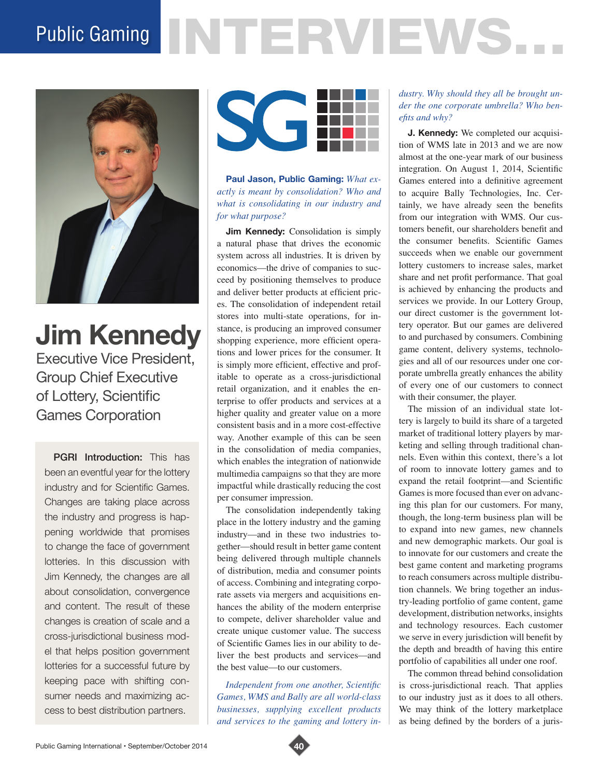# Public Gaming NTERVIEWS.



**Jim Kennedy** Executive Vice President, Group Chief Executive of Lottery, Scientific Games Corporation

**PGRI Introduction:** This has been an eventful year for the lottery industry and for Scientific Games. Changes are taking place across the industry and progress is happening worldwide that promises to change the face of government lotteries. In this discussion with Jim Kennedy, the changes are all about consolidation, convergence and content. The result of these changes is creation of scale and a cross-jurisdictional business model that helps position government lotteries for a successful future by keeping pace with shifting consumer needs and maximizing access to best distribution partners.



**Paul Jason, Public Gaming:** *What exactly is meant by consolidation? Who and what is consolidating in our industry and for what purpose?* 

**Jim Kennedy:** Consolidation is simply a natural phase that drives the economic system across all industries. It is driven by economics—the drive of companies to succeed by positioning themselves to produce and deliver better products at efficient prices. The consolidation of independent retail stores into multi-state operations, for instance, is producing an improved consumer shopping experience, more efficient operations and lower prices for the consumer. It is simply more efficient, effective and profitable to operate as a cross-jurisdictional retail organization, and it enables the enterprise to offer products and services at a higher quality and greater value on a more consistent basis and in a more cost-effective way. Another example of this can be seen in the consolidation of media companies, which enables the integration of nationwide multimedia campaigns so that they are more impactful while drastically reducing the cost per consumer impression.

The consolidation independently taking place in the lottery industry and the gaming industry—and in these two industries together—should result in better game content being delivered through multiple channels of distribution, media and consumer points of access. Combining and integrating corporate assets via mergers and acquisitions enhances the ability of the modern enterprise to compete, deliver shareholder value and create unique customer value. The success of Scientific Games lies in our ability to deliver the best products and services—and the best value—to our customers.

*Independent from one another, Scientific Games, WMS and Bally are all world-class businesses, supplying excellent products and services to the gaming and lottery in-*

### *dustry. Why should they all be brought under the one corporate umbrella? Who benefits and why?*

**J. Kennedy:** We completed our acquisition of WMS late in 2013 and we are now almost at the one-year mark of our business integration. On August 1, 2014, Scientific Games entered into a definitive agreement to acquire Bally Technologies, Inc. Certainly, we have already seen the benefits from our integration with WMS. Our customers benefit, our shareholders benefit and the consumer benefits. Scientific Games succeeds when we enable our government lottery customers to increase sales, market share and net profit performance. That goal is achieved by enhancing the products and services we provide. In our Lottery Group, our direct customer is the government lottery operator. But our games are delivered to and purchased by consumers. Combining game content, delivery systems, technologies and all of our resources under one corporate umbrella greatly enhances the ability of every one of our customers to connect with their consumer, the player.

The mission of an individual state lottery is largely to build its share of a targeted market of traditional lottery players by marketing and selling through traditional channels. Even within this context, there's a lot of room to innovate lottery games and to expand the retail footprint—and Scientific Games is more focused than ever on advancing this plan for our customers. For many, though, the long-term business plan will be to expand into new games, new channels and new demographic markets. Our goal is to innovate for our customers and create the best game content and marketing programs to reach consumers across multiple distribution channels. We bring together an industry-leading portfolio of game content, game development, distribution networks, insights and technology resources. Each customer we serve in every jurisdiction will benefit by the depth and breadth of having this entire portfolio of capabilities all under one roof.

The common thread behind consolidation is cross-jurisdictional reach. That applies to our industry just as it does to all others. We may think of the lottery marketplace as being defined by the borders of a juris-

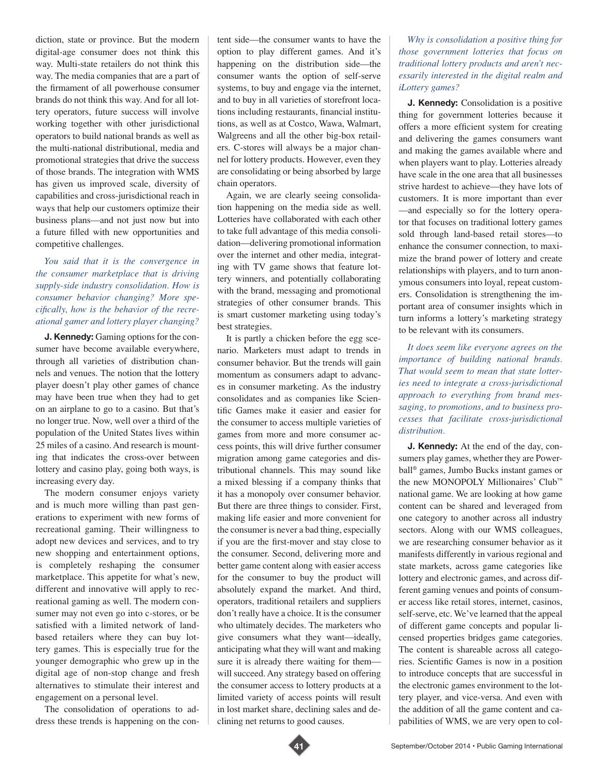diction, state or province. But the modern digital-age consumer does not think this way. Multi-state retailers do not think this way. The media companies that are a part of the firmament of all powerhouse consumer brands do not think this way. And for all lottery operators, future success will involve working together with other jurisdictional operators to build national brands as well as the multi-national distributional, media and promotional strategies that drive the success of those brands. The integration with WMS has given us improved scale, diversity of capabilities and cross-jurisdictional reach in ways that help our customers optimize their business plans—and not just now but into a future filled with new opportunities and competitive challenges.

## *You said that it is the convergence in the consumer marketplace that is driving supply-side industry consolidation. How is consumer behavior changing? More specifically, how is the behavior of the recreational gamer and lottery player changing?*

**J. Kennedy:** Gaming options for the consumer have become available everywhere, through all varieties of distribution channels and venues. The notion that the lottery player doesn't play other games of chance may have been true when they had to get on an airplane to go to a casino. But that's no longer true. Now, well over a third of the population of the United States lives within 25 miles of a casino. And research is mounting that indicates the cross-over between lottery and casino play, going both ways, is increasing every day.

The modern consumer enjoys variety and is much more willing than past generations to experiment with new forms of recreational gaming. Their willingness to adopt new devices and services, and to try new shopping and entertainment options, is completely reshaping the consumer marketplace. This appetite for what's new, different and innovative will apply to recreational gaming as well. The modern consumer may not even go into c-stores, or be satisfied with a limited network of landbased retailers where they can buy lottery games. This is especially true for the younger demographic who grew up in the digital age of non-stop change and fresh alternatives to stimulate their interest and engagement on a personal level.

The consolidation of operations to address these trends is happening on the content side—the consumer wants to have the option to play different games. And it's happening on the distribution side—the consumer wants the option of self-serve systems, to buy and engage via the internet, and to buy in all varieties of storefront locations including restaurants, financial institutions, as well as at Costco, Wawa, Walmart, Walgreens and all the other big-box retailers. C-stores will always be a major channel for lottery products. However, even they are consolidating or being absorbed by large chain operators.

Again, we are clearly seeing consolidation happening on the media side as well. Lotteries have collaborated with each other to take full advantage of this media consolidation—delivering promotional information over the internet and other media, integrating with TV game shows that feature lottery winners, and potentially collaborating with the brand, messaging and promotional strategies of other consumer brands. This is smart customer marketing using today's best strategies.

It is partly a chicken before the egg scenario. Marketers must adapt to trends in consumer behavior. But the trends will gain momentum as consumers adapt to advances in consumer marketing. As the industry consolidates and as companies like Scientific Games make it easier and easier for the consumer to access multiple varieties of games from more and more consumer access points, this will drive further consumer migration among game categories and distributional channels. This may sound like a mixed blessing if a company thinks that it has a monopoly over consumer behavior. But there are three things to consider. First, making life easier and more convenient for the consumer is never a bad thing, especially if you are the first-mover and stay close to the consumer. Second, delivering more and better game content along with easier access for the consumer to buy the product will absolutely expand the market. And third, operators, traditional retailers and suppliers don't really have a choice. It is the consumer who ultimately decides. The marketers who give consumers what they want—ideally, anticipating what they will want and making sure it is already there waiting for them will succeed. Any strategy based on offering the consumer access to lottery products at a limited variety of access points will result in lost market share, declining sales and declining net returns to good causes.

*Why is consolidation a positive thing for those government lotteries that focus on traditional lottery products and aren't necessarily interested in the digital realm and iLottery games?* 

**J. Kennedy:** Consolidation is a positive thing for government lotteries because it offers a more efficient system for creating and delivering the games consumers want and making the games available where and when players want to play. Lotteries already have scale in the one area that all businesses strive hardest to achieve—they have lots of customers. It is more important than ever —and especially so for the lottery operator that focuses on traditional lottery games sold through land-based retail stores—to enhance the consumer connection, to maximize the brand power of lottery and create relationships with players, and to turn anonymous consumers into loyal, repeat customers. Consolidation is strengthening the important area of consumer insights which in turn informs a lottery's marketing strategy to be relevant with its consumers.

*It does seem like everyone agrees on the importance of building national brands. That would seem to mean that state lotteries need to integrate a cross-jurisdictional approach to everything from brand messaging, to promotions, and to business processes that facilitate cross-jurisdictional distribution.* 

**J. Kennedy:** At the end of the day, consumers play games, whether they are Powerball® games, Jumbo Bucks instant games or the new MONOPOLY Millionaires' Club™ national game. We are looking at how game content can be shared and leveraged from one category to another across all industry sectors. Along with our WMS colleagues, we are researching consumer behavior as it manifests differently in various regional and state markets, across game categories like lottery and electronic games, and across different gaming venues and points of consumer access like retail stores, internet, casinos, self-serve, etc. We've learned that the appeal of different game concepts and popular licensed properties bridges game categories. The content is shareable across all categories. Scientific Games is now in a position to introduce concepts that are successful in the electronic games environment to the lottery player, and vice-versa. And even with the addition of all the game content and capabilities of WMS, we are very open to col-